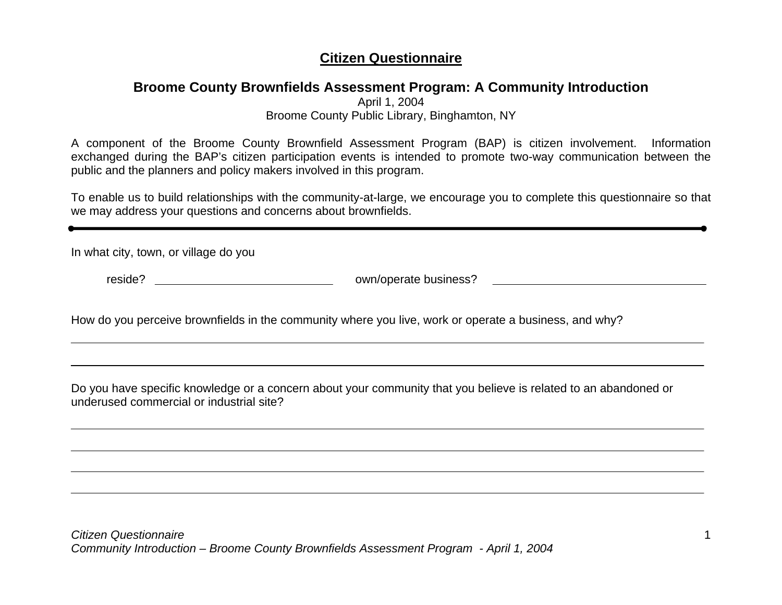## **Citizen Questionnaire**

## **Broome County Brownfields Assessment Program: A Community Introduction**

April 1, 2004

Broome County Public Library, Binghamton, NY

A component of the Broome County Brownfield Assessment Program (BAP) is citizen involvement. Information exchanged during the BAP's citizen participation events is intended to promote two-way communication between the public and the planners and policy makers involved in this program.

To enable us to build relationships with the community-at-large, we encourage you to complete this questionnaire so that we may address your questions and concerns about brownfields.

In what city, town, or village do you

reside? **own/operate business?** 

How do you perceive brownfields in the community where you live, work or operate a business, and why?

Do you have specific knowledge or a concern about your community that you believe is related to an abandoned or underused commercial or industrial site?